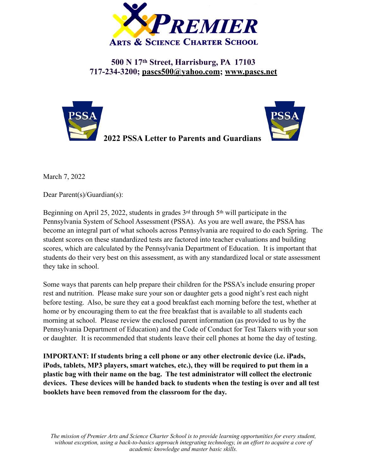

**500 N 17th Street, Harrisburg, PA 17103 717-234-3200; [pascs500@yahoo.com](mailto:pascs500@yahoo.com); [www.pascs.net](http://www.pascs.net)**





March 7, 2022

Dear Parent(s)/Guardian(s):

Beginning on April 25, 2022, students in grades 3<sup>rd</sup> through 5<sup>th</sup> will participate in the Pennsylvania System of School Assessment (PSSA). As you are well aware, the PSSA has become an integral part of what schools across Pennsylvania are required to do each Spring. The student scores on these standardized tests are factored into teacher evaluations and building scores, which are calculated by the Pennsylvania Department of Education. It is important that students do their very best on this assessment, as with any standardized local or state assessment they take in school.

Some ways that parents can help prepare their children for the PSSA's include ensuring proper rest and nutrition. Please make sure your son or daughter gets a good night's rest each night before testing. Also, be sure they eat a good breakfast each morning before the test, whether at home or by encouraging them to eat the free breakfast that is available to all students each morning at school. Please review the enclosed parent information (as provided to us by the Pennsylvania Department of Education) and the Code of Conduct for Test Takers with your son or daughter. It is recommended that students leave their cell phones at home the day of testing.

**IMPORTANT: If students bring a cell phone or any other electronic device (i.e. iPads, iPods, tablets, MP3 players, smart watches, etc.), they will be required to put them in a plastic bag with their name on the bag. The test administrator will collect the electronic devices. These devices will be handed back to students when the testing is over and all test booklets have been removed from the classroom for the day.** 

*The mission of Premier Arts and Science Charter School is to provide learning opportunities for every student, without exception, using a back-to-basics approach integrating technology, in an effort to acquire a core of academic knowledge and master basic skills.*